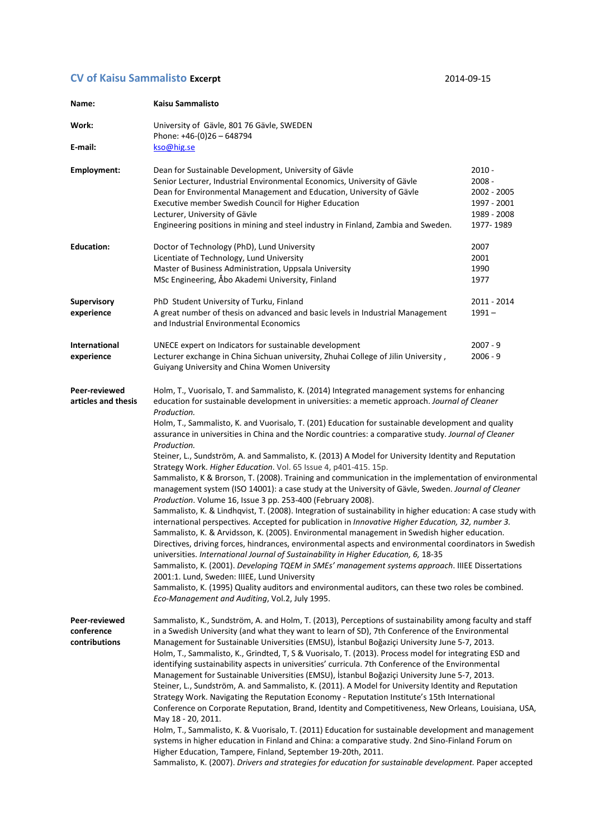## **CV of Kaisu Sammalisto Excerpt** 2014-09-15

| Name:                                        | Kaisu Sammalisto                                                                                                                                                                                                                                                                                                                                                                                                                                                                                                                                                                                                                                                                                                                                                                                                                                                                                                                                                                                                                                                                                                                                                                                                                                                                                                                                                                                                                                                                                                                                                                                                                                                                                                                         |                                                                            |
|----------------------------------------------|------------------------------------------------------------------------------------------------------------------------------------------------------------------------------------------------------------------------------------------------------------------------------------------------------------------------------------------------------------------------------------------------------------------------------------------------------------------------------------------------------------------------------------------------------------------------------------------------------------------------------------------------------------------------------------------------------------------------------------------------------------------------------------------------------------------------------------------------------------------------------------------------------------------------------------------------------------------------------------------------------------------------------------------------------------------------------------------------------------------------------------------------------------------------------------------------------------------------------------------------------------------------------------------------------------------------------------------------------------------------------------------------------------------------------------------------------------------------------------------------------------------------------------------------------------------------------------------------------------------------------------------------------------------------------------------------------------------------------------------|----------------------------------------------------------------------------|
| Work:                                        | University of Gävle, 801 76 Gävle, SWEDEN<br>Phone: +46-(0)26 - 648794                                                                                                                                                                                                                                                                                                                                                                                                                                                                                                                                                                                                                                                                                                                                                                                                                                                                                                                                                                                                                                                                                                                                                                                                                                                                                                                                                                                                                                                                                                                                                                                                                                                                   |                                                                            |
| E-mail:                                      | kso@hig.se                                                                                                                                                                                                                                                                                                                                                                                                                                                                                                                                                                                                                                                                                                                                                                                                                                                                                                                                                                                                                                                                                                                                                                                                                                                                                                                                                                                                                                                                                                                                                                                                                                                                                                                               |                                                                            |
| Employment:                                  | Dean for Sustainable Development, University of Gävle<br>Senior Lecturer, Industrial Environmental Economics, University of Gävle<br>Dean for Environmental Management and Education, University of Gävle<br>Executive member Swedish Council for Higher Education<br>Lecturer, University of Gävle<br>Engineering positions in mining and steel industry in Finland, Zambia and Sweden.                                                                                                                                                                                                                                                                                                                                                                                                                                                                                                                                                                                                                                                                                                                                                                                                                                                                                                                                                                                                                                                                                                                                                                                                                                                                                                                                                 | 2010 -<br>2008 -<br>2002 - 2005<br>1997 - 2001<br>1989 - 2008<br>1977-1989 |
| <b>Education:</b>                            | Doctor of Technology (PhD), Lund University<br>Licentiate of Technology, Lund University<br>Master of Business Administration, Uppsala University<br>MSc Engineering, Åbo Akademi University, Finland                                                                                                                                                                                                                                                                                                                                                                                                                                                                                                                                                                                                                                                                                                                                                                                                                                                                                                                                                                                                                                                                                                                                                                                                                                                                                                                                                                                                                                                                                                                                    | 2007<br>2001<br>1990<br>1977                                               |
| <b>Supervisory</b><br>experience             | PhD Student University of Turku, Finland<br>A great number of thesis on advanced and basic levels in Industrial Management<br>and Industrial Environmental Economics                                                                                                                                                                                                                                                                                                                                                                                                                                                                                                                                                                                                                                                                                                                                                                                                                                                                                                                                                                                                                                                                                                                                                                                                                                                                                                                                                                                                                                                                                                                                                                     | 2011 - 2014<br>$1991 -$                                                    |
| <b>International</b><br>experience           | UNECE expert on Indicators for sustainable development<br>Lecturer exchange in China Sichuan university, Zhuhai College of Jilin University,<br>Guiyang University and China Women University                                                                                                                                                                                                                                                                                                                                                                                                                                                                                                                                                                                                                                                                                                                                                                                                                                                                                                                                                                                                                                                                                                                                                                                                                                                                                                                                                                                                                                                                                                                                            | 2007 - 9<br>2006 - 9                                                       |
| Peer-reviewed<br>articles and thesis         | Holm, T., Vuorisalo, T. and Sammalisto, K. (2014) Integrated management systems for enhancing<br>education for sustainable development in universities: a memetic approach. Journal of Cleaner<br>Production.<br>Holm, T., Sammalisto, K. and Vuorisalo, T. (201) Education for sustainable development and quality<br>assurance in universities in China and the Nordic countries: a comparative study. Journal of Cleaner<br>Production.<br>Steiner, L., Sundström, A. and Sammalisto, K. (2013) A Model for University Identity and Reputation<br>Strategy Work. Higher Education. Vol. 65 Issue 4, p401-415. 15p.<br>Sammalisto, K & Brorson, T. (2008). Training and communication in the implementation of environmental<br>management system (ISO 14001): a case study at the University of Gävle, Sweden. Journal of Cleaner<br>Production. Volume 16, Issue 3 pp. 253-400 (February 2008).<br>Sammalisto, K. & Lindhqvist, T. (2008). Integration of sustainability in higher education: A case study with<br>international perspectives. Accepted for publication in Innovative Higher Education, 32, number 3.<br>Sammalisto, K. & Arvidsson, K. (2005). Environmental management in Swedish higher education.<br>Directives, driving forces, hindrances, environmental aspects and environmental coordinators in Swedish<br>universities. International Journal of Sustainability in Higher Education, 6, 18-35<br>Sammalisto, K. (2001). Developing TQEM in SMEs' management systems approach. IIIEE Dissertations<br>2001:1. Lund, Sweden: IIIEE, Lund University<br>Sammalisto, K. (1995) Quality auditors and environmental auditors, can these two roles be combined.<br>Eco-Management and Auditing, Vol.2, July 1995. |                                                                            |
| Peer-reviewed<br>conference<br>contributions | Sammalisto, K., Sundström, A. and Holm, T. (2013), Perceptions of sustainability among faculty and staff<br>in a Swedish University (and what they want to learn of SD), 7th Conference of the Environmental<br>Management for Sustainable Universities (EMSU), İstanbul Boğaziçi University June 5-7, 2013.<br>Holm, T., Sammalisto, K., Grindted, T, S & Vuorisalo, T. (2013). Process model for integrating ESD and<br>identifying sustainability aspects in universities' curricula. 7th Conference of the Environmental<br>Management for Sustainable Universities (EMSU), İstanbul Boğaziçi University June 5-7, 2013.<br>Steiner, L., Sundström, A. and Sammalisto, K. (2011). A Model for University Identity and Reputation<br>Strategy Work. Navigating the Reputation Economy - Reputation Institute's 15th International<br>Conference on Corporate Reputation, Brand, Identity and Competitiveness, New Orleans, Louisiana, USA,<br>May 18 - 20, 2011.<br>Holm, T., Sammalisto, K. & Vuorisalo, T. (2011) Education for sustainable development and management<br>systems in higher education in Finland and China: a comparative study. 2nd Sino-Finland Forum on<br>Higher Education, Tampere, Finland, September 19-20th, 2011.<br>Sammalisto, K. (2007). Drivers and strategies for education for sustainable development. Paper accepted                                                                                                                                                                                                                                                                                                                                                                               |                                                                            |